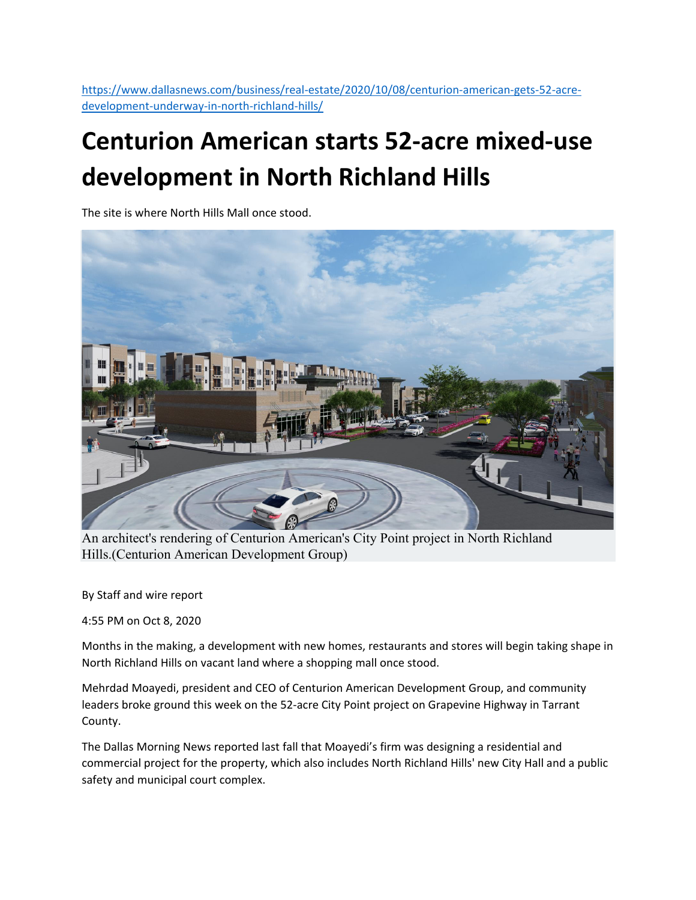https://www.dallasnews.com/business/real‐estate/2020/10/08/centurion‐american‐gets‐52‐acre‐ development‐underway‐in‐north‐richland‐hills/

## **Centurion American starts 52‐acre mixed‐use development in North Richland Hills**

The site is where North Hills Mall once stood.



An architect's rendering of Centurion American's City Point project in North Richland Hills.(Centurion American Development Group)

By Staff and wire report

4:55 PM on Oct 8, 2020

Months in the making, a development with new homes, restaurants and stores will begin taking shape in North Richland Hills on vacant land where a shopping mall once stood.

Mehrdad Moayedi, president and CEO of Centurion American Development Group, and community leaders broke ground this week on the 52‐acre City Point project on Grapevine Highway in Tarrant County.

The Dallas Morning News reported last fall that Moayedi's firm was designing a residential and commercial project for the property, which also includes North Richland Hills' new City Hall and a public safety and municipal court complex.